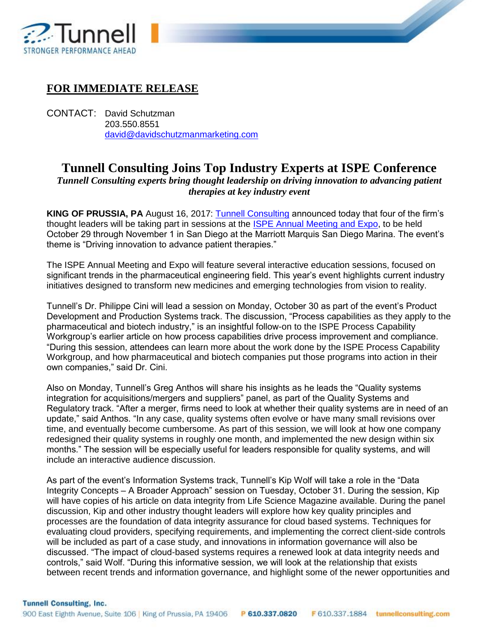

## **FOR IMMEDIATE RELEASE**

CONTACT: David Schutzman 203.550.8551 [david@davidschutzmanmarketing.com](mailto:david@davidschutzmanmarketing.com)

## **Tunnell Consulting Joins Top Industry Experts at ISPE Conference**

4

*Tunnell Consulting experts bring thought leadership on driving innovation to advancing patient therapies at key industry event*

**KING OF PRUSSIA, PA** August 16, 2017: [Tunnell Consulting](http://www.tunnellconsulting.com/) announced today that four of the firm's thought leaders will be taking part in sessions at the [ISPE Annual Meeting and Expo,](http://www.ispe.org/2017-annual-meeting) to be held October 29 through November 1 in San Diego at the Marriott Marquis San Diego Marina. The event's theme is "Driving innovation to advance patient therapies."

The ISPE Annual Meeting and Expo will feature several interactive education sessions, focused on significant trends in the pharmaceutical engineering field. This year's event highlights current industry initiatives designed to transform new medicines and emerging technologies from vision to reality.

Tunnell's Dr. Philippe Cini will lead a session on Monday, October 30 as part of the event's Product Development and Production Systems track. The discussion, "Process capabilities as they apply to the pharmaceutical and biotech industry," is an insightful follow-on to the ISPE Process Capability Workgroup's earlier article on how process capabilities drive process improvement and compliance. "During this session, attendees can learn more about the work done by the ISPE Process Capability Workgroup, and how pharmaceutical and biotech companies put those programs into action in their own companies," said Dr. Cini.

Also on Monday, Tunnell's Greg Anthos will share his insights as he leads the "Quality systems integration for acquisitions/mergers and suppliers" panel, as part of the Quality Systems and Regulatory track. "After a merger, firms need to look at whether their quality systems are in need of an update," said Anthos. "In any case, quality systems often evolve or have many small revisions over time, and eventually become cumbersome. As part of this session, we will look at how one company redesigned their quality systems in roughly one month, and implemented the new design within six months." The session will be especially useful for leaders responsible for quality systems, and will include an interactive audience discussion.

As part of the event's Information Systems track, Tunnell's Kip Wolf will take a role in the "Data Integrity Concepts – A Broader Approach" session on Tuesday, October 31. During the session, Kip will have copies of his article on data integrity from Life Science Magazine available. During the panel discussion, Kip and other industry thought leaders will explore how key quality principles and processes are the foundation of data integrity assurance for cloud based systems. Techniques for evaluating cloud providers, specifying requirements, and implementing the correct client-side controls will be included as part of a case study, and innovations in information governance will also be discussed. "The impact of cloud-based systems requires a renewed look at data integrity needs and controls," said Wolf. "During this informative session, we will look at the relationship that exists between recent trends and information governance, and highlight some of the newer opportunities and